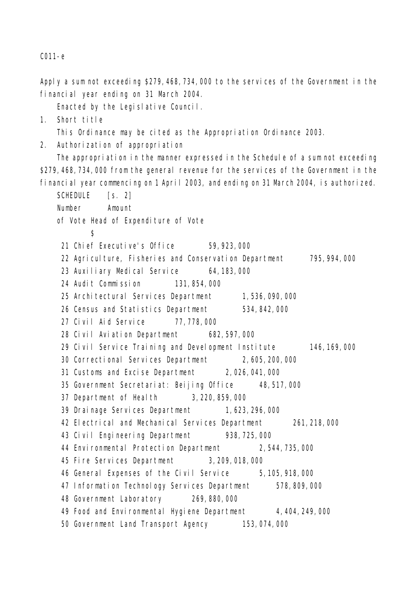```
C011-e
```
Apply a sum not exceeding \$279,468,734,000 to the services of the Government in the financial year ending on 31 March 2004.

Enacted by the Legislative Council.

1. Short title

This Ordinance may be cited as the Appropriation Ordinance 2003.

2. Authorization of appropriation

The appropriation in the manner expressed in the Schedule of a sum not exceeding \$279,468,734,000 from the general revenue for the services of the Government in the financial year commencing on 1 April 2003, and ending on 31 March 2004, is authorized.

SCHEDULE [s. 2] Number Amount of Vote Head of Expenditure of Vote  $\mathcal{S}$ 21 Chief Executive's Office 59,923,000 22 Agriculture, Fisheries and Conservation Department 795,994,000 23 Auxiliary Medical Service 64,183,000 24 Audit Commission 131,854,000 25 Architectural Services Department 1,536,090,000 26 Census and Statistics Department 534,842,000 27 Civil Aid Service 77,778,000 28 Civil Aviation Department 682,597,000 29 Civil Service Training and Development Institute 146,169,000 30 Correctional Services Department 2,605,200,000 31 Customs and Excise Department 2,026,041,000 35 Government Secretariat: Beijing Office 48,517,000 37 Department of Health 3,220,859,000 39 Drainage Services Department 1,623,296,000 42 Electrical and Mechanical Services Department 261,218,000 43 Civil Engineering Department 938,725,000 44 Environmental Protection Department 2, 544, 735, 000 45 Fire Services Department 3,209,018,000 46 General Expenses of the Civil Service 5,105,918,000 47 Information Technology Services Department 578,809,000 48 Government Laboratory 269,880,000 49 Food and Environmental Hygiene Department 4,404,249,000 50 Government Land Transport Agency 153,074,000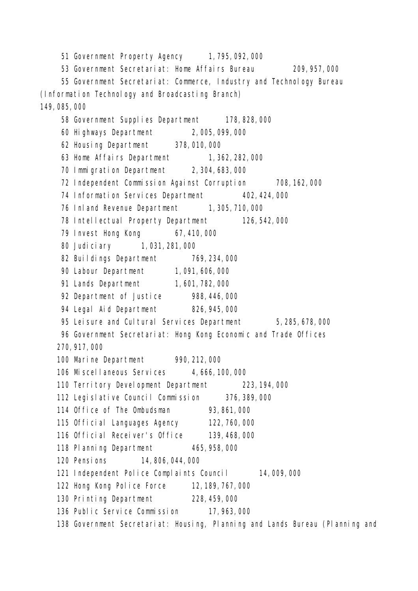51 Government Property Agency 1,795,092,000 53 Government Secretariat: Home Affairs Bureau 209,957,000 55 Government Secretariat: Commerce, Industry and Technology Bureau (Information Technology and Broadcasting Branch) 149,085,000 58 Government Supplies Department 178,828,000 60 Highways Department 2,005,099,000 62 Housing Department 378,010,000 63 Home Affairs Department 1, 362, 282, 000 70 Immigration Department 2,304,683,000 72 Independent Commission Against Corruption 708,162,000 74 Information Services Department 402,424,000 76 Inland Revenue Department 1, 305, 710, 000 78 Intellectual Property Department 126,542,000 79 Invest Hong Kong 67,410,000 80 Judiciary 1,031,281,000 82 Buildings Department 769,234,000 90 Labour Department 1,091,606,000 91 Lands Department 1,601,782,000 92 Department of Justice 988,446,000 94 Legal Aid Department 826,945,000 95 Leisure and Cultural Services Department 5,285,678,000 96 Government Secretariat: Hong Kong Economic and Trade Offices 270,917,000 100 Marine Department 990,212,000 106 Miscellaneous Services 4,666,100,000 110 Territory Development Department 223,194,000 112 Legislative Council Commission 376,389,000 114 Office of The Ombudsman 93,861,000 115 Official Languages Agency 122,760,000 116 Official Receiver's Office 139,468,000 118 Planning Department 465,958,000 120 Pensions 14,806,044,000 121 Independent Police Complaints Council 14,009,000 122 Hong Kong Police Force 12,189,767,000 130 Printing Department 228,459,000 136 Public Service Commission 17,963,000 138 Government Secretariat: Housing, Planning and Lands Bureau (Planning and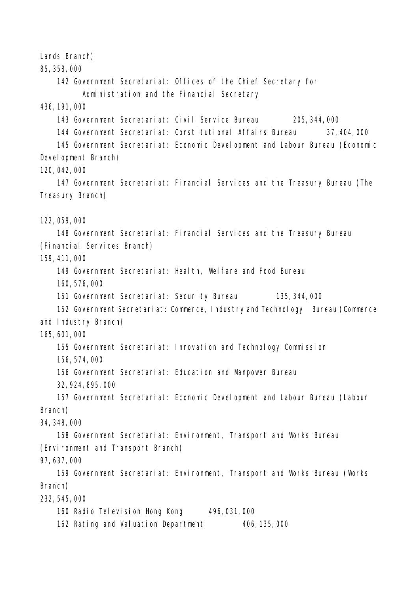Lands Branch)

85,358,000

142 Government Secretariat: Offices of the Chief Secretary for Administration and the Financial Secretary

436,191,000

143 Government Secretariat: Civil Service Bureau 205,344,000

144 Government Secretariat: Constitutional Affairs Bureau 37,404,000

145 Government Secretariat: Economic Development and Labour Bureau (Economic Development Branch)

120,042,000

147 Government Secretariat: Financial Services and the Treasury Bureau (The Treasury Branch)

122,059,000

148 Government Secretariat: Financial Services and the Treasury Bureau (Financial Services Branch)

159,411,000

149 Government Secretariat: Health, Welfare and Food Bureau

160,576,000

151 Government Secretariat: Security Bureau 135,344,000

152 Government Secretariat: Commerce, Industry and Technology Bureau (Commerce and Industry Branch)

165,601,000

155 Government Secretariat: Innovation and Technology Commission

156,574,000

156 Government Secretariat: Education and Manpower Bureau

32,924,895,000

157 Government Secretariat: Economic Development and Labour Bureau (Labour Branch)

34,348,000

158 Government Secretariat: Environment, Transport and Works Bureau (Environment and Transport Branch)

97,637,000

159 Government Secretariat: Environment, Transport and Works Bureau (Works Branch)

232,545,000

160 Radio Television Hong Kong 496,031,000

162 Rating and Valuation Department 406,135,000